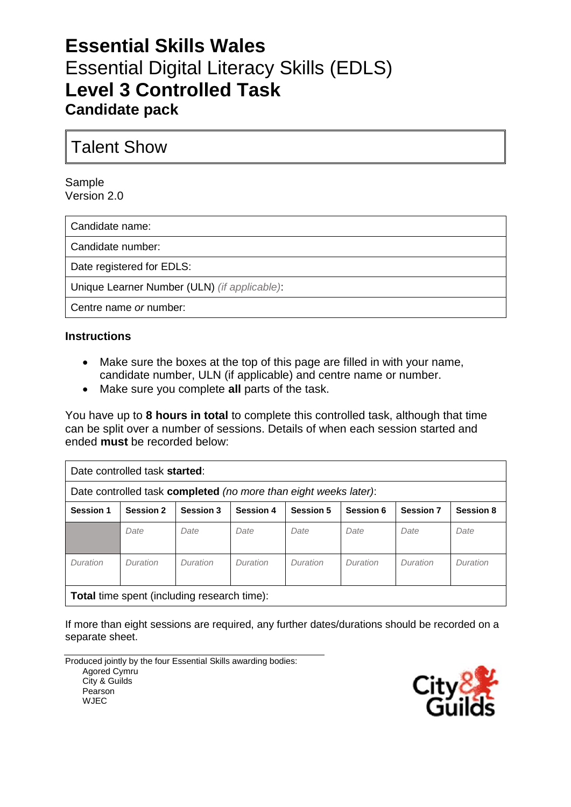# **Essential Skills Wales** Essential Digital Literacy Skills (EDLS) **Level 3 Controlled Task Candidate pack**

Talent Show

Sample Version 2.0

Candidate name:

Candidate number:

Date registered for EDLS:

Unique Learner Number (ULN) *(if applicable)*:

Centre name *or* number:

#### **Instructions**

- Make sure the boxes at the top of this page are filled in with your name, candidate number, ULN (if applicable) and centre name or number.
- Make sure you complete **all** parts of the task.

You have up to **8 hours in total** to complete this controlled task, although that time can be split over a number of sessions. Details of when each session started and ended **must** be recorded below:

| Date controlled task started:                                    |                  |           |                  |                  |           |                  |                  |  |
|------------------------------------------------------------------|------------------|-----------|------------------|------------------|-----------|------------------|------------------|--|
| Date controlled task completed (no more than eight weeks later): |                  |           |                  |                  |           |                  |                  |  |
| <b>Session 1</b>                                                 | <b>Session 2</b> | Session 3 | <b>Session 4</b> | <b>Session 5</b> | Session 6 | <b>Session 7</b> | <b>Session 8</b> |  |
|                                                                  | Date             | Date      | Date             | Date             | Date      | Date             | Date             |  |
| Duration                                                         | Duration         | Duration  | Duration         | Duration         | Duration  | Duration         | Duration         |  |
| <b>Total time spent (including research time):</b>               |                  |           |                  |                  |           |                  |                  |  |

If more than eight sessions are required, any further dates/durations should be recorded on a separate sheet.

Produced jointly by the four Essential Skills awarding bodies: Agored Cymru City & Guilds Pearson WJEC

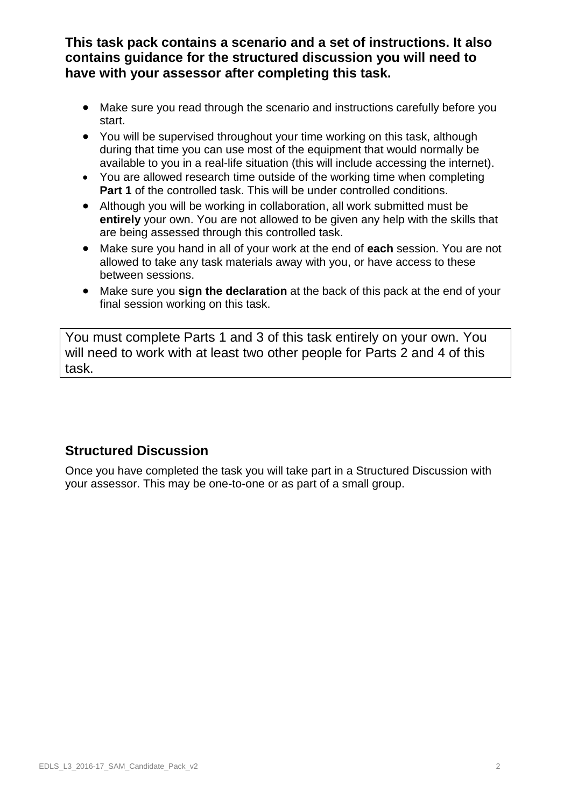**This task pack contains a scenario and a set of instructions. It also contains guidance for the structured discussion you will need to have with your assessor after completing this task.**

- Make sure you read through the scenario and instructions carefully before you start.
- You will be supervised throughout your time working on this task, although during that time you can use most of the equipment that would normally be available to you in a real-life situation (this will include accessing the internet).
- You are allowed research time outside of the working time when completing **Part 1** of the controlled task. This will be under controlled conditions.
- Although you will be working in collaboration, all work submitted must be **entirely** your own. You are not allowed to be given any help with the skills that are being assessed through this controlled task.
- Make sure you hand in all of your work at the end of **each** session. You are not allowed to take any task materials away with you, or have access to these between sessions.
- Make sure you **sign the declaration** at the back of this pack at the end of your final session working on this task.

You must complete Parts 1 and 3 of this task entirely on your own. You will need to work with at least two other people for Parts 2 and 4 of this task.

#### **Structured Discussion**

Once you have completed the task you will take part in a Structured Discussion with your assessor. This may be one-to-one or as part of a small group.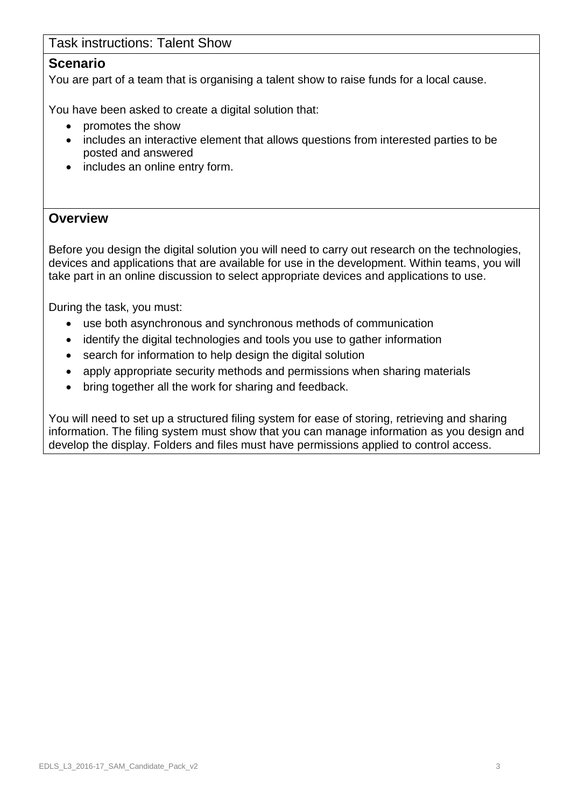#### Task instructions: Talent Show

#### **Scenario**

You are part of a team that is organising a talent show to raise funds for a local cause.

You have been asked to create a digital solution that:

- promotes the show
- includes an interactive element that allows questions from interested parties to be posted and answered
- includes an online entry form.

#### **Overview**

Before you design the digital solution you will need to carry out research on the technologies, devices and applications that are available for use in the development. Within teams, you will take part in an online discussion to select appropriate devices and applications to use.

During the task, you must:

- use both asynchronous and synchronous methods of communication
- identify the digital technologies and tools you use to gather information
- search for information to help design the digital solution
- apply appropriate security methods and permissions when sharing materials
- bring together all the work for sharing and feedback.

You will need to set up a structured filing system for ease of storing, retrieving and sharing information. The filing system must show that you can manage information as you design and develop the display. Folders and files must have permissions applied to control access.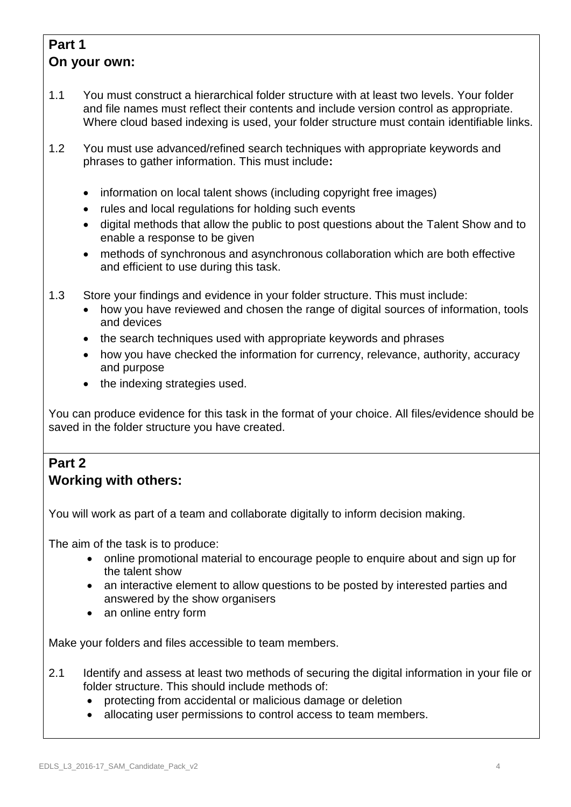## **Part 1 On your own:**

- 1.1 You must construct a hierarchical folder structure with at least two levels. Your folder and file names must reflect their contents and include version control as appropriate. Where cloud based indexing is used, your folder structure must contain identifiable links.
- 1.2 You must use advanced/refined search techniques with appropriate keywords and phrases to gather information. This must include**:**
	- information on local talent shows (including copyright free images)
	- rules and local regulations for holding such events
	- digital methods that allow the public to post questions about the Talent Show and to enable a response to be given
	- methods of synchronous and asynchronous collaboration which are both effective and efficient to use during this task.
- 1.3 Store your findings and evidence in your folder structure. This must include:
	- how you have reviewed and chosen the range of digital sources of information, tools and devices
	- the search techniques used with appropriate keywords and phrases
	- how you have checked the information for currency, relevance, authority, accuracy and purpose
	- the indexing strategies used.

You can produce evidence for this task in the format of your choice. All files/evidence should be saved in the folder structure you have created.

#### **Part 2 Working with others:**

You will work as part of a team and collaborate digitally to inform decision making.

The aim of the task is to produce:

- online promotional material to encourage people to enquire about and sign up for the talent show
- an interactive element to allow questions to be posted by interested parties and answered by the show organisers
- an online entry form

Make your folders and files accessible to team members.

- 2.1 Identify and assess at least two methods of securing the digital information in your file or folder structure. This should include methods of:
	- protecting from accidental or malicious damage or deletion
	- allocating user permissions to control access to team members.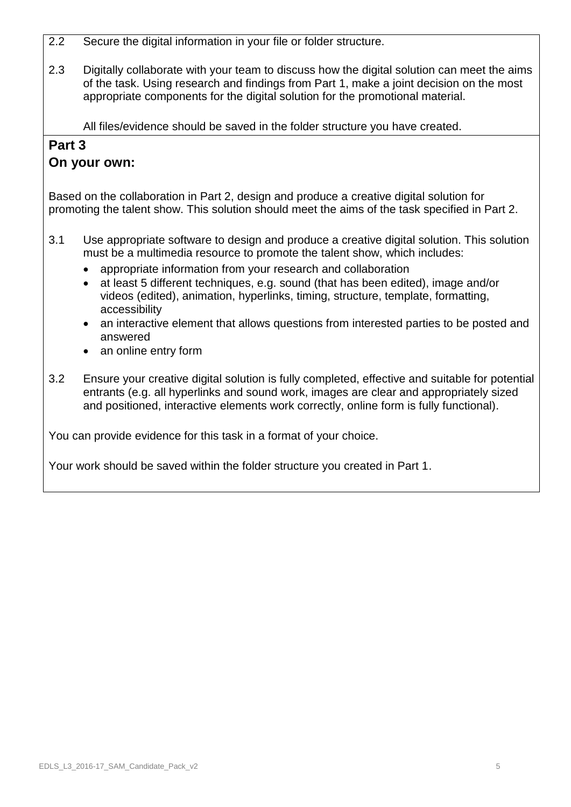- 2.2 Secure the digital information in your file or folder structure.
- 2.3 Digitally collaborate with your team to discuss how the digital solution can meet the aims of the task. Using research and findings from Part 1, make a joint decision on the most appropriate components for the digital solution for the promotional material.

All files/evidence should be saved in the folder structure you have created.

### **Part 3**

### **On your own:**

Based on the collaboration in Part 2, design and produce a creative digital solution for promoting the talent show. This solution should meet the aims of the task specified in Part 2.

- 3.1 Use appropriate software to design and produce a creative digital solution. This solution must be a multimedia resource to promote the talent show, which includes:
	- appropriate information from your research and collaboration
	- at least 5 different techniques, e.g. sound (that has been edited), image and/or videos (edited), animation, hyperlinks, timing, structure, template, formatting, accessibility
	- an interactive element that allows questions from interested parties to be posted and answered
	- an online entry form
- 3.2 Ensure your creative digital solution is fully completed, effective and suitable for potential entrants (e.g. all hyperlinks and sound work, images are clear and appropriately sized and positioned, interactive elements work correctly, online form is fully functional).

You can provide evidence for this task in a format of your choice.

Your work should be saved within the folder structure you created in Part 1.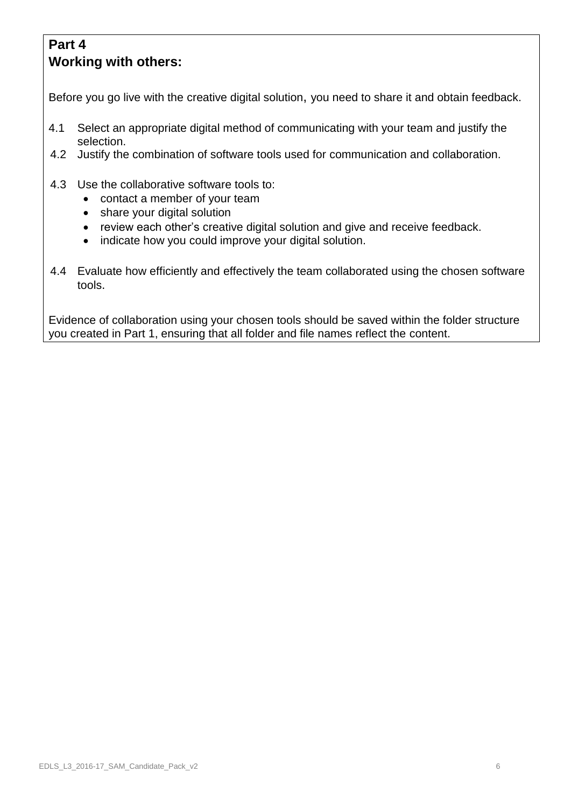## **Part 4 Working with others:**

Before you go live with the creative digital solution, you need to share it and obtain feedback.

- 4.1 Select an appropriate digital method of communicating with your team and justify the selection.
- 4.2 Justify the combination of software tools used for communication and collaboration.
- 4.3 Use the collaborative software tools to:
	- contact a member of your team
	- share your digital solution
	- review each other's creative digital solution and give and receive feedback.
	- indicate how you could improve your digital solution.
- 4.4 Evaluate how efficiently and effectively the team collaborated using the chosen software tools.

Evidence of collaboration using your chosen tools should be saved within the folder structure you created in Part 1, ensuring that all folder and file names reflect the content.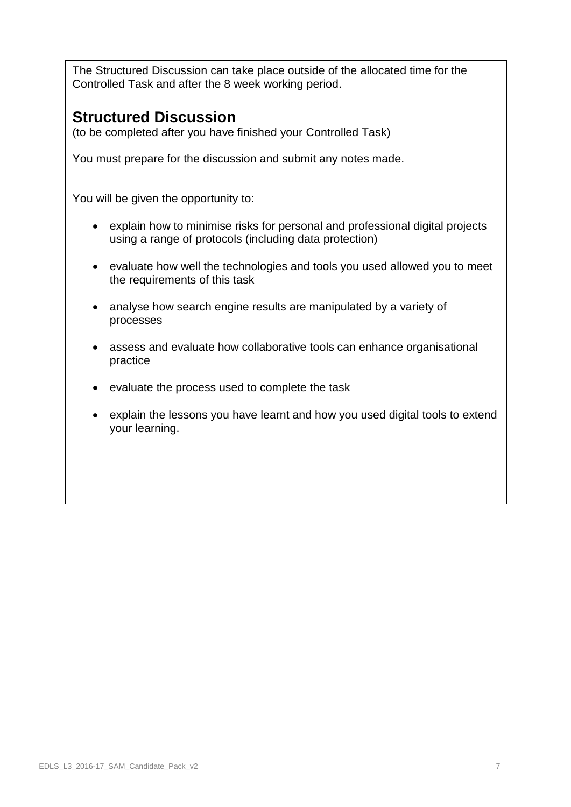The Structured Discussion can take place outside of the allocated time for the Controlled Task and after the 8 week working period.

## **Structured Discussion**

(to be completed after you have finished your Controlled Task)

You must prepare for the discussion and submit any notes made.

You will be given the opportunity to:

- explain how to minimise risks for personal and professional digital projects using a range of protocols (including data protection)
- evaluate how well the technologies and tools you used allowed you to meet the requirements of this task
- analyse how search engine results are manipulated by a variety of processes
- assess and evaluate how collaborative tools can enhance organisational practice
- evaluate the process used to complete the task
- explain the lessons you have learnt and how you used digital tools to extend your learning.